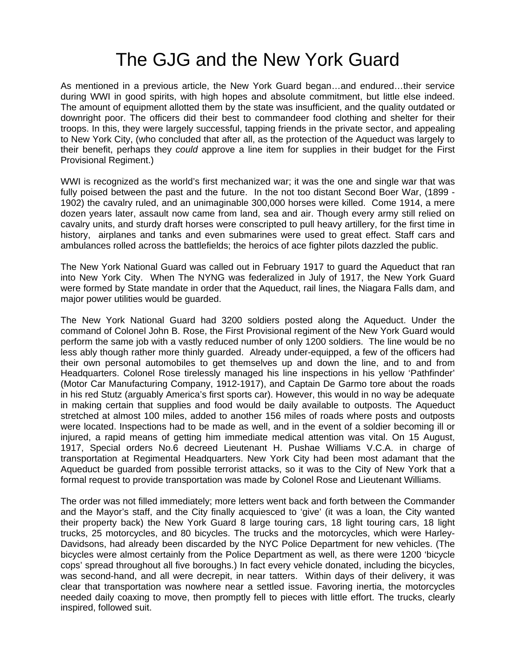## The GJG and the New York Guard

As mentioned in a previous article, the New York Guard began…and endured…their service during WWI in good spirits, with high hopes and absolute commitment, but little else indeed. The amount of equipment allotted them by the state was insufficient, and the quality outdated or downright poor. The officers did their best to commandeer food clothing and shelter for their troops. In this, they were largely successful, tapping friends in the private sector, and appealing to New York City, (who concluded that after all, as the protection of the Aqueduct was largely to their benefit, perhaps they *could* approve a line item for supplies in their budget for the First Provisional Regiment.)

WWI is recognized as the world's first mechanized war; it was the one and single war that was fully poised between the past and the future. In the not too distant Second Boer War, (1899 - 1902) the cavalry ruled, and an unimaginable 300,000 horses were killed. Come 1914, a mere dozen years later, assault now came from land, sea and air. Though every army still relied on cavalry units, and sturdy draft horses were conscripted to pull heavy artillery, for the first time in history, airplanes and tanks and even submarines were used to great effect. Staff cars and ambulances rolled across the battlefields; the heroics of ace fighter pilots dazzled the public.

The New York National Guard was called out in February 1917 to guard the Aqueduct that ran into New York City. When The NYNG was federalized in July of 1917, the New York Guard were formed by State mandate in order that the Aqueduct, rail lines, the Niagara Falls dam, and major power utilities would be guarded.

The New York National Guard had 3200 soldiers posted along the Aqueduct. Under the command of Colonel John B. Rose, the First Provisional regiment of the New York Guard would perform the same job with a vastly reduced number of only 1200 soldiers. The line would be no less ably though rather more thinly guarded. Already under-equipped, a few of the officers had their own personal automobiles to get themselves up and down the line, and to and from Headquarters. Colonel Rose tirelessly managed his line inspections in his yellow 'Pathfinder' (Motor Car Manufacturing Company, 1912-1917), and Captain De Garmo tore about the roads in his red Stutz (arguably America's first sports car). However, this would in no way be adequate in making certain that supplies and food would be daily available to outposts. The Aqueduct stretched at almost 100 miles, added to another 156 miles of roads where posts and outposts were located. Inspections had to be made as well, and in the event of a soldier becoming ill or injured, a rapid means of getting him immediate medical attention was vital. On 15 August, 1917, Special orders No.6 decreed Lieutenant H. Pushae Williams V.C.A. in charge of transportation at Regimental Headquarters. New York City had been most adamant that the Aqueduct be guarded from possible terrorist attacks, so it was to the City of New York that a formal request to provide transportation was made by Colonel Rose and Lieutenant Williams.

The order was not filled immediately; more letters went back and forth between the Commander and the Mayor's staff, and the City finally acquiesced to 'give' (it was a loan, the City wanted their property back) the New York Guard 8 large touring cars, 18 light touring cars, 18 light trucks, 25 motorcycles, and 80 bicycles. The trucks and the motorcycles, which were Harley-Davidsons, had already been discarded by the NYC Police Department for new vehicles. (The bicycles were almost certainly from the Police Department as well, as there were 1200 'bicycle cops' spread throughout all five boroughs.) In fact every vehicle donated, including the bicycles, was second-hand, and all were decrepit, in near tatters. Within days of their delivery, it was clear that transportation was nowhere near a settled issue. Favoring inertia, the motorcycles needed daily coaxing to move, then promptly fell to pieces with little effort. The trucks, clearly inspired, followed suit.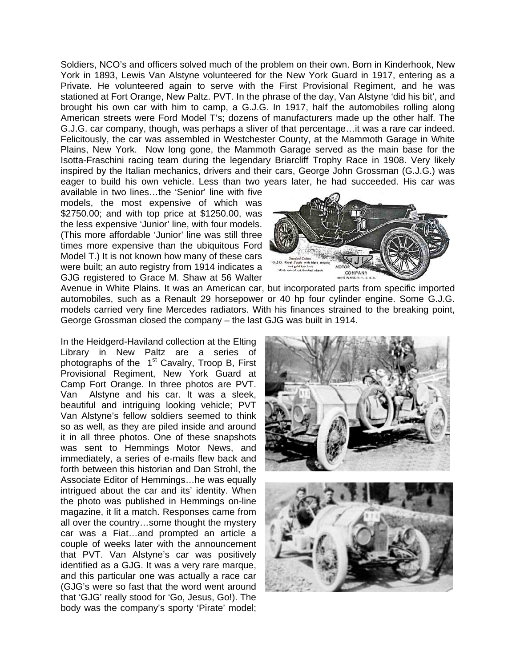Soldiers, NCO's and officers solved much of the problem on their own. Born in Kinderhook, New York in 1893, Lewis Van Alstyne volunteered for the New York Guard in 1917, entering as a Private. He volunteered again to serve with the First Provisional Regiment, and he was stationed at Fort Orange, New Paltz. PVT. In the phrase of the day, Van Alstyne 'did his bit', and brought his own car with him to camp, a G.J.G. In 1917, half the automobiles rolling along American streets were Ford Model T's; dozens of manufacturers made up the other half. The G.J.G. car company, though, was perhaps a sliver of that percentage…it was a rare car indeed. Felicitously, the car was assembled in Westchester County, at the Mammoth Garage in White Plains, New York. Now long gone, the Mammoth Garage served as the main base for the Isotta-Fraschini racing team during the legendary Briarcliff Trophy Race in 1908. Very likely inspired by the Italian mechanics, drivers and their cars, George John Grossman (G.J.G.) was eager to build his own vehicle. Less than two years later, he had succeeded. His car was

available in two lines…the 'Senior' line with five models, the most expensive of which was \$2750.00; and with top price at \$1250.00, was the less expensive 'Junior' line, with four models. (This more affordable 'Junior' line was still three times more expensive than the ubiquitous Ford Model T.) It is not known how many of these cars were built; an auto registry from 1914 indicates a GJG registered to Grace M. Shaw at 56 Walter

COMPANY

Avenue in White Plains. It was an American car, but incorporated parts from specific imported automobiles, such as a Renault 29 horsepower or 40 hp four cylinder engine. Some G.J.G. models carried very fine Mercedes radiators. With his finances strained to the breaking point, George Grossman closed the company – the last GJG was built in 1914.

In the Heidgerd-Haviland collection at the Elting Library in New Paltz are a series of photographs of the  $1<sup>st</sup>$  Cavalry, Troop B, First Provisional Regiment, New York Guard at Camp Fort Orange. In three photos are PVT. Van Alstyne and his car. It was a sleek, beautiful and intriguing looking vehicle; PVT Van Alstyne's fellow soldiers seemed to think so as well, as they are piled inside and around it in all three photos. One of these snapshots was sent to Hemmings Motor News, and immediately, a series of e-mails flew back and forth between this historian and Dan Strohl, the Associate Editor of Hemmings…he was equally intrigued about the car and its' identity. When the photo was published in Hemmings on-line magazine, it lit a match. Responses came from all over the country…some thought the mystery car was a Fiat…and prompted an article a couple of weeks later with the announcement that PVT. Van Alstyne's car was positively identified as a GJG. It was a very rare marque, and this particular one was actually a race car (GJG's were so fast that the word went around that 'GJG' really stood for 'Go, Jesus, Go!). The body was the company's sporty 'Pirate' model;